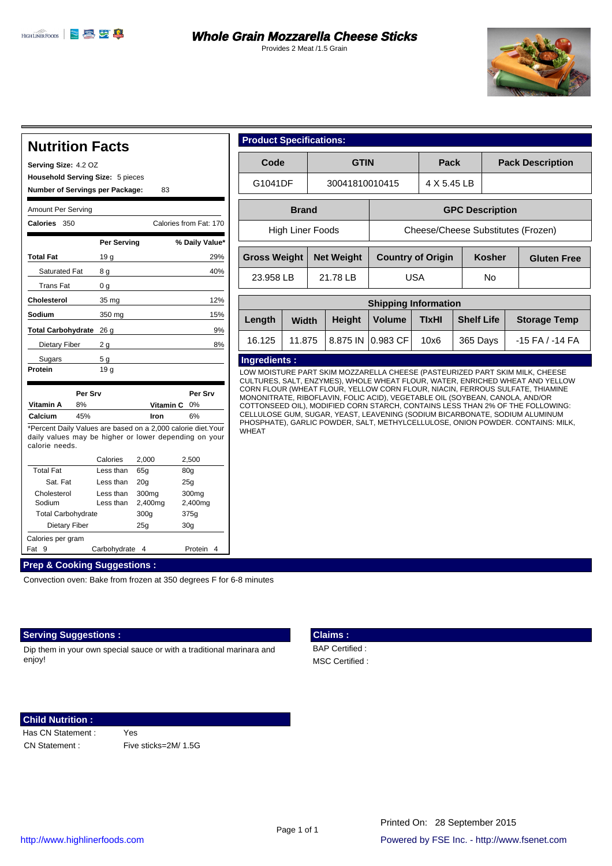Provides 2 Meat /1.5 Grain



#### **Nutrition Facts Serving Size:** 4.2 OZ **Number of Servings per Package:** Amount Per Serving **Calories Total Fat** Saturated Fat Trans Fat **Cholesterol Sodium Total Carbohydrate** 26 g Dietary Fiber Sugars **Protein % Daily Value\* Vitamin A** 8% **Vitamin C** 0% Calcium 45% \*Percent Daily Values are based on a 2,000 calorie diet.Your daily values may be higher or lower depending on your calorie needs. Calories 2,000 2,500 Total Fat Sat. Fat Cholesterol Sodium Total Carbohydrate Dietary Fiber Less than Less than Less than Less than Calories per gram Fat 9 Carbohydrate 4 Protein 4 Calories from Fat: 170 29% 8 g 40% 0 g 35 mg 12% 350 mg 15% 19 g  $2 g$  8% 5 g  $19q$ lron 6% 65g 80g 20g 300mg 2,400mg 300g 25g 25g 300mg 2,400mg 375g 30g 93 9% **Per Srv Per Srv Per Serving Prep & Cooking Suggestions : Household Serving Size:** 5 pieces

Convection oven: Bake from frozen at 350 degrees F for 6-8 minutes

### **Serving Suggestions :**

Dip them in your own special sauce or with a traditional marinara and enjoy!

# **Claims :**

 BAP Certified : MSC Certified :

### **Child Nutrition :**

Has CN Statement :

Yes CN Statement : Five sticks=2M/ 1.5G

| <b>Product Specifications:</b> |                   |                                    |             |  |                         |                    |  |
|--------------------------------|-------------------|------------------------------------|-------------|--|-------------------------|--------------------|--|
| Code                           | <b>GTIN</b>       |                                    | Pack        |  | <b>Pack Description</b> |                    |  |
| G1041DF                        | 30041810010415    |                                    | 4 X 5.45 LB |  |                         |                    |  |
| <b>Brand</b>                   |                   | <b>GPC Description</b>             |             |  |                         |                    |  |
| High Liner Foods               |                   | Cheese/Cheese Substitutes (Frozen) |             |  |                         |                    |  |
| <b>Gross Weight</b>            | <b>Net Weight</b> | <b>Country of Origin</b>           |             |  | <b>Kosher</b>           | <b>Gluten Free</b> |  |
| 23.958 LB                      | 21.78 LB          | <b>USA</b>                         |             |  | N <sub>o</sub>          |                    |  |
| <b>Shipping Information</b>    |                   |                                    |             |  |                         |                    |  |

| Length | <b>Width</b> | <b>Height</b> | <b>Volume</b>                          | יוסוואוווסווויסווועטוויס<br><b>Shelf Life</b><br><b>TIxHI</b> |          | <b>Storage Temp</b> |
|--------|--------------|---------------|----------------------------------------|---------------------------------------------------------------|----------|---------------------|
| 16.125 |              |               | 11.875   8.875 IN $ 0.983 \text{ CF} $ | 10x6                                                          | 365 Days | $-15$ FA / $-14$ FA |

## **Ingredients :**

LOW MOISTURE PART SKIM MOZZARELLA CHEESE (PASTEURIZED PART SKIM MILK, CHEESE CULTURES, SALT, ENZYMES), WHOLE WHEAT FLOUR, WATER, ENRICHED WHEAT AND YELLOW CORN FLOUR (WHEAT FLOUR, YELLOW CORN FLOUR, NIACIN, FERROUS SULFATE, THIAMINE MONONITRATE, RIBOFLAVIN, FOLIC ACID), VEGETABLE OIL (SOYBEAN, CANOLA, AND/OR COTTONSEED OIL), MODIFIED CORN STARCH, CONTAINS LESS THAN 2% OF THE FOLLOWING: CELLULOSE GUM, SUGAR, YEAST, LEAVENING (SODIUM BICARBONATE, SODIUM ALUMINUM PHOSPHATE), GARLIC POWDER, SALT, METHYLCELLULOSE, ONION POWDER. CONTAINS: MILK, **WHEAT**